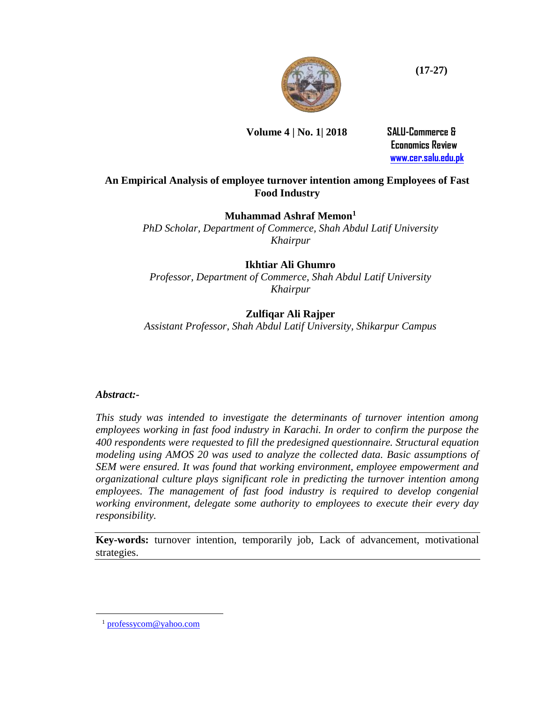

### **Volume 4 | No. 1| 2018 SALU-Commerce &**

 **Economics Review [www.cer.salu.edu.pk](http://www.cer.salu.edu.pk/)**

**(17-27)**

### **An Empirical Analysis of employee turnover intention among Employees of Fast Food Industry**

### **Muhammad Ashraf Memon<sup>1</sup>**

*PhD Scholar, Department of Commerce, Shah Abdul Latif University Khairpur*

### **Ikhtiar Ali Ghumro**

*Professor, Department of Commerce, Shah Abdul Latif University Khairpur*

### **Zulfiqar Ali Rajper**

*Assistant Professor, Shah Abdul Latif University, Shikarpur Campus*

#### *Abstract:-*

*This study was intended to investigate the determinants of turnover intention among employees working in fast food industry in Karachi. In order to confirm the purpose the 400 respondents were requested to fill the predesigned questionnaire. Structural equation modeling using AMOS 20 was used to analyze the collected data. Basic assumptions of SEM were ensured. It was found that working environment, employee empowerment and organizational culture plays significant role in predicting the turnover intention among*  employees. The management of fast food industry is required to develop congenial *working environment, delegate some authority to employees to execute their every day responsibility.* 

**Key-words:** turnover intention, temporarily job, Lack of advancement, motivational strategies.

 $\overline{a}$ 

<sup>&</sup>lt;sup>1</sup> [professycom@yahoo.com](mailto:professycom@yahoo.com)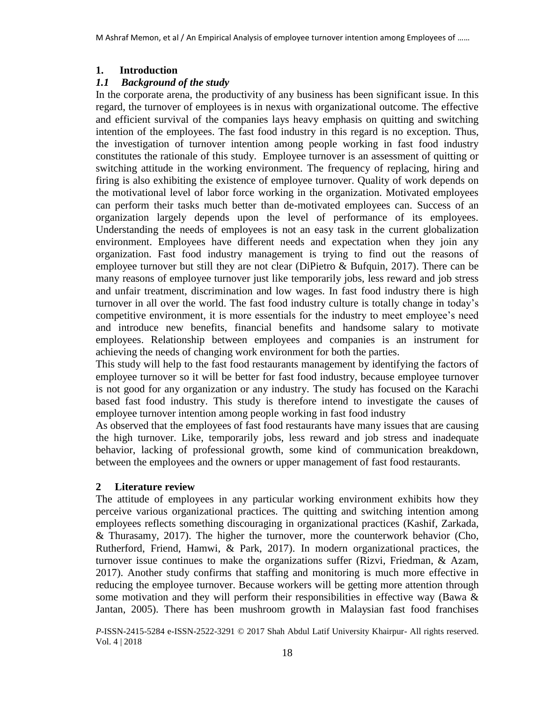### **1. Introduction**

### *1.1 Background of the study*

In the corporate arena, the productivity of any business has been significant issue. In this regard, the turnover of employees is in nexus with organizational outcome. The effective and efficient survival of the companies lays heavy emphasis on quitting and switching intention of the employees. The fast food industry in this regard is no exception. Thus, the investigation of turnover intention among people working in fast food industry constitutes the rationale of this study. Employee turnover is an assessment of quitting or switching attitude in the working environment. The frequency of replacing, hiring and firing is also exhibiting the existence of employee turnover. Quality of work depends on the motivational level of labor force working in the organization. Motivated employees can perform their tasks much better than de-motivated employees can. Success of an organization largely depends upon the level of performance of its employees. Understanding the needs of employees is not an easy task in the current globalization environment. Employees have different needs and expectation when they join any organization. Fast food industry management is trying to find out the reasons of employee turnover but still they are not clear (DiPietro & Bufquin, 2017). There can be many reasons of employee turnover just like temporarily jobs, less reward and job stress and unfair treatment, discrimination and low wages. In fast food industry there is high turnover in all over the world. The fast food industry culture is totally change in today's competitive environment, it is more essentials for the industry to meet employee's need and introduce new benefits, financial benefits and handsome salary to motivate employees. Relationship between employees and companies is an instrument for achieving the needs of changing work environment for both the parties.

This study will help to the fast food restaurants management by identifying the factors of employee turnover so it will be better for fast food industry, because employee turnover is not good for any organization or any industry. The study has focused on the Karachi based fast food industry. This study is therefore intend to investigate the causes of employee turnover intention among people working in fast food industry

As observed that the employees of fast food restaurants have many issues that are causing the high turnover. Like, temporarily jobs, less reward and job stress and inadequate behavior, lacking of professional growth, some kind of communication breakdown, between the employees and the owners or upper management of fast food restaurants.

### **2 Literature review**

The attitude of employees in any particular working environment exhibits how they perceive various organizational practices. The quitting and switching intention among employees reflects something discouraging in organizational practices (Kashif, Zarkada, & Thurasamy, 2017). The higher the turnover, more the counterwork behavior (Cho, Rutherford, Friend, Hamwi, & Park, 2017). In modern organizational practices, the turnover issue continues to make the organizations suffer (Rizvi, Friedman, & Azam, 2017). Another study confirms that staffing and monitoring is much more effective in reducing the employee turnover. Because workers will be getting more attention through some motivation and they will perform their responsibilities in effective way (Bawa  $\&$ Jantan, 2005). There has been mushroom growth in Malaysian fast food franchises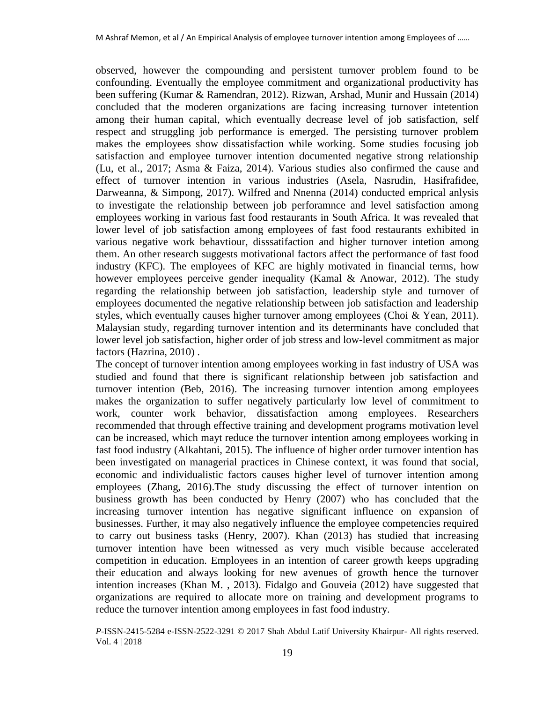observed, however the compounding and persistent turnover problem found to be confounding. Eventually the employee commitment and organizational productivity has been suffering (Kumar & Ramendran, 2012). Rizwan, Arshad, Munir and Hussain (2014) concluded that the moderen organizations are facing increasing turnover intetention among their human capital, which eventually decrease level of job satisfaction, self respect and struggling job performance is emerged. The persisting turnover problem makes the employees show dissatisfaction while working. Some studies focusing job satisfaction and employee turnover intention documented negative strong relationship (Lu, et al., 2017; Asma & Faiza, 2014). Various studies also confirmed the cause and effect of turnover intention in various industries (Asela, Nasrudin, Hasifrafidee, Darweanna, & Simpong, 2017). Wilfred and Nnenna (2014) conducted emprical anlysis to investigate the relationship between job perforamnce and level satisfaction among employees working in various fast food restaurants in South Africa. It was revealed that lower level of job satisfaction among employees of fast food restaurants exhibited in various negative work behavtiour, disssatifaction and higher turnover intetion among them. An other research suggests motivational factors affect the performance of fast food industry (KFC). The employees of KFC are highly motivated in financial terms, how however employees perceive gender inequality (Kamal & Anowar, 2012). The study regarding the relationship between job satisfaction, leadership style and turnover of employees documented the negative relationship between job satisfaction and leadership styles, which eventually causes higher turnover among employees (Choi & Yean, 2011). Malaysian study, regarding turnover intention and its determinants have concluded that lower level job satisfaction, higher order of job stress and low-level commitment as major factors (Hazrina, 2010) .

The concept of turnover intention among employees working in fast industry of USA was studied and found that there is significant relationship between job satisfaction and turnover intention (Beb, 2016). The increasing turnover intention among employees makes the organization to suffer negatively particularly low level of commitment to work, counter work behavior, dissatisfaction among employees. Researchers recommended that through effective training and development programs motivation level can be increased, which mayt reduce the turnover intention among employees working in fast food industry (Alkahtani, 2015). The influence of higher order turnover intention has been investigated on managerial practices in Chinese context, it was found that social, economic and individualistic factors causes higher level of turnover intention among employees (Zhang, 2016).The study discussing the effect of turnover intention on business growth has been conducted by Henry (2007) who has concluded that the increasing turnover intention has negative significant influence on expansion of businesses. Further, it may also negatively influence the employee competencies required to carry out business tasks (Henry, 2007). Khan (2013) has studied that increasing turnover intention have been witnessed as very much visible because accelerated competition in education. Employees in an intention of career growth keeps upgrading their education and always looking for new avenues of growth hence the turnover intention increases (Khan M. , 2013). Fidalgo and Gouveia (2012) have suggested that organizations are required to allocate more on training and development programs to reduce the turnover intention among employees in fast food industry.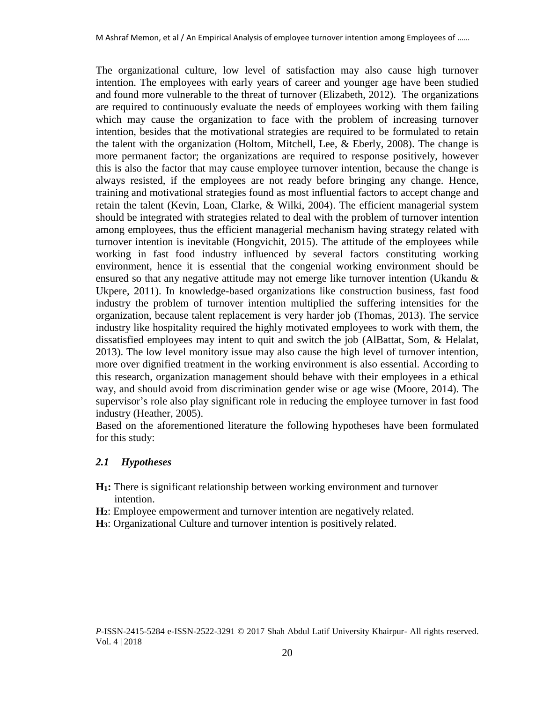The organizational culture, low level of satisfaction may also cause high turnover intention. The employees with early years of career and younger age have been studied and found more vulnerable to the threat of turnover (Elizabeth, 2012). The organizations are required to continuously evaluate the needs of employees working with them failing which may cause the organization to face with the problem of increasing turnover intention, besides that the motivational strategies are required to be formulated to retain the talent with the organization (Holtom, Mitchell, Lee, & Eberly, 2008). The change is more permanent factor; the organizations are required to response positively, however this is also the factor that may cause employee turnover intention, because the change is always resisted, if the employees are not ready before bringing any change. Hence, training and motivational strategies found as most influential factors to accept change and retain the talent (Kevin, Loan, Clarke, & Wilki, 2004). The efficient managerial system should be integrated with strategies related to deal with the problem of turnover intention among employees, thus the efficient managerial mechanism having strategy related with turnover intention is inevitable (Hongvichit, 2015). The attitude of the employees while working in fast food industry influenced by several factors constituting working environment, hence it is essential that the congenial working environment should be ensured so that any negative attitude may not emerge like turnover intention (Ukandu  $\&$ Ukpere, 2011). In knowledge-based organizations like construction business, fast food industry the problem of turnover intention multiplied the suffering intensities for the organization, because talent replacement is very harder job (Thomas, 2013). The service industry like hospitality required the highly motivated employees to work with them, the dissatisfied employees may intent to quit and switch the job (AlBattat, Som, & Helalat, 2013). The low level monitory issue may also cause the high level of turnover intention, more over dignified treatment in the working environment is also essential. According to this research, organization management should behave with their employees in a ethical way, and should avoid from discrimination gender wise or age wise (Moore, 2014). The supervisor's role also play significant role in reducing the employee turnover in fast food industry (Heather, 2005).

Based on the aforementioned literature the following hypotheses have been formulated for this study:

#### *2.1 Hypotheses*

- **H1:** There is significant relationship between working environment and turnover intention.
- **H2**: Employee empowerment and turnover intention are negatively related.
- **H3**: Organizational Culture and turnover intention is positively related.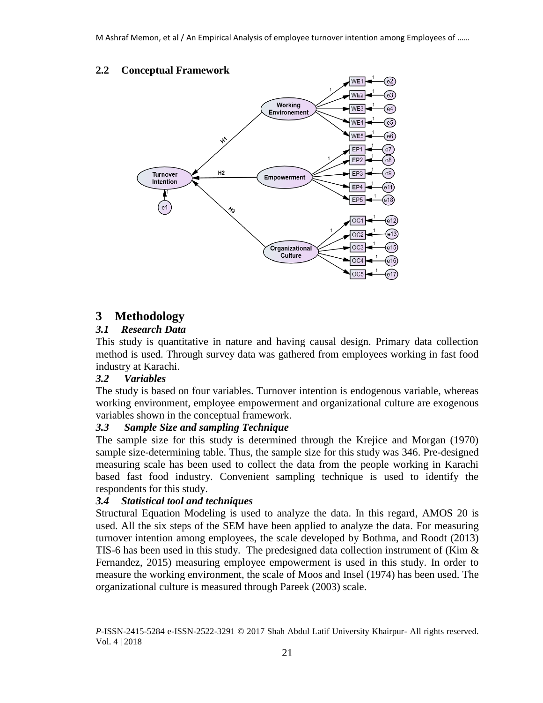### **2.2 Conceptual Framework**



# **3 Methodology**

### *3.1 Research Data*

This study is quantitative in nature and having causal design. Primary data collection method is used. Through survey data was gathered from employees working in fast food industry at Karachi.

### *3.2 Variables*

The study is based on four variables. Turnover intention is endogenous variable, whereas working environment, employee empowerment and organizational culture are exogenous variables shown in the conceptual framework.

#### *3.3 Sample Size and sampling Technique*

The sample size for this study is determined through the Krejice and Morgan (1970) sample size-determining table. Thus, the sample size for this study was 346. Pre-designed measuring scale has been used to collect the data from the people working in Karachi based fast food industry. Convenient sampling technique is used to identify the respondents for this study.

### *3.4 Statistical tool and techniques*

Structural Equation Modeling is used to analyze the data. In this regard, AMOS 20 is used. All the six steps of the SEM have been applied to analyze the data. For measuring turnover intention among employees, the scale developed by Bothma, and Roodt (2013) TIS-6 has been used in this study. The predesigned data collection instrument of (Kim & Fernandez, 2015) measuring employee empowerment is used in this study. In order to measure the working environment, the scale of Moos and Insel (1974) has been used. The organizational culture is measured through Pareek (2003) scale.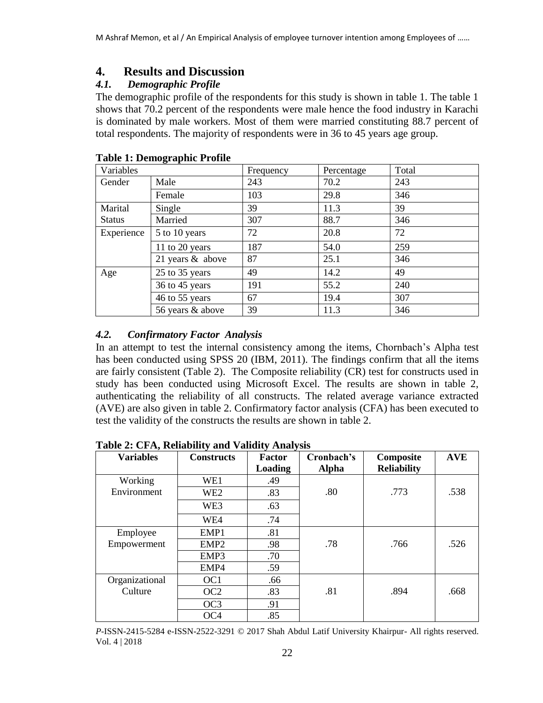## **4. Results and Discussion**

## *4.1. Demographic Profile*

The demographic profile of the respondents for this study is shown in table 1. The table 1 shows that 70.2 percent of the respondents were male hence the food industry in Karachi is dominated by male workers. Most of them were married constituting 88.7 percent of total respondents. The majority of respondents were in 36 to 45 years age group.

| Variables     |                    | Frequency | Percentage | Total |
|---------------|--------------------|-----------|------------|-------|
| Gender        | Male               | 243       | 70.2       | 243   |
|               | Female             | 103       | 29.8       | 346   |
| Marital       | Single             | 39        | 11.3       | 39    |
| <b>Status</b> | Married            | 307       | 88.7       | 346   |
| Experience    | 5 to 10 years      | 72        | 20.8       | 72    |
|               | 11 to 20 years     | 187       | 54.0       | 259   |
|               | 21 years $&$ above | 87        | 25.1       | 346   |
| Age           | 25 to 35 years     | 49        | 14.2       | 49    |
|               | 36 to 45 years     | 191       | 55.2       | 240   |
|               | 46 to 55 years     | 67        | 19.4       | 307   |
|               | 56 years & above   | 39        | 11.3       | 346   |

### **Table 1: Demographic Profile**

## *4.2. Confirmatory Factor Analysis*

In an attempt to test the internal consistency among the items, Chornbach's Alpha test has been conducted using SPSS 20 (IBM, 2011). The findings confirm that all the items are fairly consistent (Table 2). The Composite reliability (CR) test for constructs used in study has been conducted using Microsoft Excel. The results are shown in table 2, authenticating the reliability of all constructs. The related average variance extracted (AVE) are also given in table 2. Confirmatory factor analysis (CFA) has been executed to test the validity of the constructs the results are shown in table 2.

| <b>Variables</b> | <b>Constructs</b> | <b>Factor</b> | Cronbach's   | Composite          | <b>AVE</b> |
|------------------|-------------------|---------------|--------------|--------------------|------------|
|                  |                   | Loading       | <b>Alpha</b> | <b>Reliability</b> |            |
| Working          | WE1               | .49           |              |                    |            |
| Environment      | WE <sub>2</sub>   | .83           | .80          | .773               | .538       |
|                  | WE3               | .63           |              |                    |            |
|                  | WE4               | .74           |              |                    |            |
| Employee         | EMP1              | .81           |              |                    |            |
| Empowerment      | EMP <sub>2</sub>  | .98           | .78          | .766               | .526       |
|                  | EMP3              | .70           |              |                    |            |
|                  | EMP4              | .59           |              |                    |            |
| Organizational   | OC <sub>1</sub>   | .66           |              |                    |            |
| Culture          | OC <sub>2</sub>   | .83           | .81          | .894               | .668       |
|                  | OC <sub>3</sub>   | .91           |              |                    |            |
|                  | OC <sub>4</sub>   | .85           |              |                    |            |

#### **Table 2: CFA, Reliability and Validity Analysis**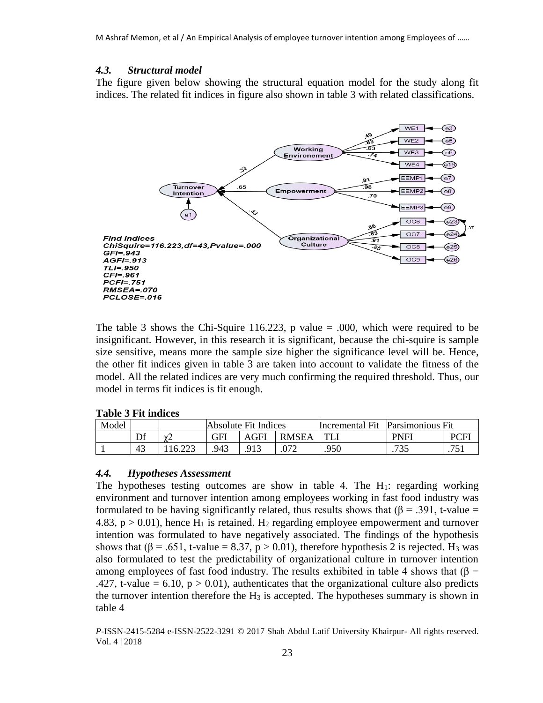#### *4.3. Structural model*

The figure given below showing the structural equation model for the study along fit indices. The related fit indices in figure also shown in table 3 with related classifications.



The table 3 shows the Chi-Squire 116.223, p value  $= .000$ , which were required to be insignificant. However, in this research it is significant, because the chi-squire is sample size sensitive, means more the sample size higher the significance level will be. Hence, the other fit indices given in table 3 are taken into account to validate the fitness of the model. All the related indices are very much confirming the required threshold. Thus, our model in terms fit indices is fit enough.

#### **Table 3 Fit indices**

| Model |    |               | Absolute Fit Indices |     | Incremental Fit | Parsimonious Fit |              |         |
|-------|----|---------------|----------------------|-----|-----------------|------------------|--------------|---------|
|       | Df | $\sim$        | GFI                  | GFI | <b>RMSEA</b>    | тī               | <b>PNFI</b>  | PCH     |
|       | 43 | ററാ<br>16.223 | .943                 |     | ∩¬า             | .950             | 725<br>ن د ر | 75<br>. |

#### *4.4. Hypotheses Assessment*

The hypotheses testing outcomes are show in table 4. The  $H_1$ : regarding working environment and turnover intention among employees working in fast food industry was formulated to be having significantly related, thus results shows that ( $\beta$  = .391, t-value = 4.83,  $p > 0.01$ ), hence H<sub>1</sub> is retained. H<sub>2</sub> regarding employee empowerment and turnover intention was formulated to have negatively associated. The findings of the hypothesis shows that ( $\beta$  = .651, t-value = 8.37, p > 0.01), therefore hypothesis 2 is rejected. H<sub>3</sub> was also formulated to test the predictability of organizational culture in turnover intention among employees of fast food industry. The results exhibited in table 4 shows that ( $\beta$  = .427, t-value = 6.10,  $p > 0.01$ ), authenticates that the organizational culture also predicts the turnover intention therefore the  $H_3$  is accepted. The hypotheses summary is shown in table 4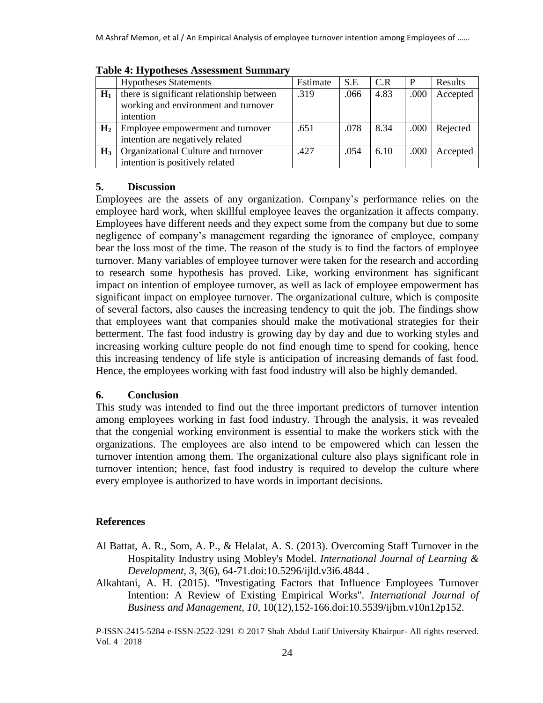|                | <b>Hypotheses Statements</b>              | Estimate | S.E  | C.R  | P    | Results  |
|----------------|-------------------------------------------|----------|------|------|------|----------|
| $H_1$          | there is significant relationship between | .319     | .066 | 4.83 | .000 | Accepted |
|                | working and environment and turnover      |          |      |      |      |          |
|                | intention                                 |          |      |      |      |          |
| H <sub>2</sub> | Employee empowerment and turnover         | .651     | .078 | 8.34 | .000 | Rejected |
|                | intention are negatively related          |          |      |      |      |          |
| $H_3$          | Organizational Culture and turnover       | .427     | .054 | 6.10 | .000 | Accepted |
|                | intention is positively related           |          |      |      |      |          |

#### **Table 4: Hypotheses Assessment Summary**

#### **5. Discussion**

Employees are the assets of any organization. Company's performance relies on the employee hard work, when skillful employee leaves the organization it affects company. Employees have different needs and they expect some from the company but due to some negligence of company's management regarding the ignorance of employee, company bear the loss most of the time. The reason of the study is to find the factors of employee turnover. Many variables of employee turnover were taken for the research and according to research some hypothesis has proved. Like, working environment has significant impact on intention of employee turnover, as well as lack of employee empowerment has significant impact on employee turnover. The organizational culture, which is composite of several factors, also causes the increasing tendency to quit the job. The findings show that employees want that companies should make the motivational strategies for their betterment. The fast food industry is growing day by day and due to working styles and increasing working culture people do not find enough time to spend for cooking, hence this increasing tendency of life style is anticipation of increasing demands of fast food. Hence, the employees working with fast food industry will also be highly demanded.

#### **6. Conclusion**

This study was intended to find out the three important predictors of turnover intention among employees working in fast food industry. Through the analysis, it was revealed that the congenial working environment is essential to make the workers stick with the organizations. The employees are also intend to be empowered which can lessen the turnover intention among them. The organizational culture also plays significant role in turnover intention; hence, fast food industry is required to develop the culture where every employee is authorized to have words in important decisions.

### **References**

- Al Battat, A. R., Som, A. P., & Helalat, A. S. (2013). Overcoming Staff Turnover in the Hospitality Industry using Mobley's Model. *International Journal of Learning & Development, 3*, 3(6), 64-71.doi:10.5296/ijld.v3i6.4844 .
- Alkahtani, A. H. (2015). "Investigating Factors that Influence Employees Turnover Intention: A Review of Existing Empirical Works". *International Journal of Business and Management, 10*, 10(12),152-166.doi:10.5539/ijbm.v10n12p152.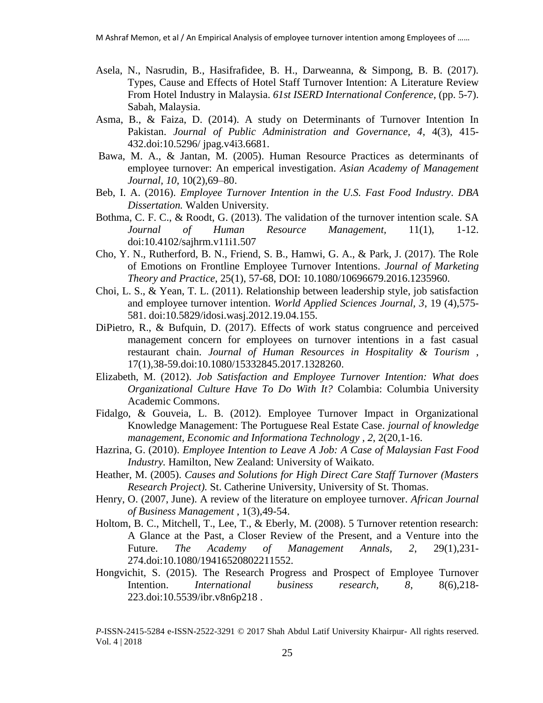- Asela, N., Nasrudin, B., Hasifrafidee, B. H., Darweanna, & Simpong, B. B. (2017). Types, Cause and Effects of Hotel Staff Turnover Intention: A Literature Review From Hotel Industry in Malaysia. *61st ISERD International Conference*, (pp. 5-7). Sabah, Malaysia.
- Asma, B., & Faiza, D. (2014). A study on Determinants of Turnover Intention In Pakistan. *Journal of Public Administration and Governance, 4*, 4(3), 415- 432.doi:10.5296/ jpag.v4i3.6681.
- Bawa, M. A., & Jantan, M. (2005). Human Resource Practices as determinants of employee turnover: An emperical investigation. *Asian Academy of Management Journal, 10*, 10(2),69–80.
- Beb, I. A. (2016). *Employee Turnover Intention in the U.S. Fast Food Industry. DBA Dissertation.* Walden University.
- Bothma, C. F. C., & Roodt, G. (2013). The validation of the turnover intention scale. SA *Journal of Human Resource Management,* 11(1), 1-12. doi:10.4102/sajhrm.v11i1.507
- Cho, Y. N., Rutherford, B. N., Friend, S. B., Hamwi, G. A., & Park, J. (2017). The Role of Emotions on Frontline Employee Turnover Intentions. *Journal of Marketing Theory and Practice*, 25(1), 57-68, DOI: 10.1080/10696679.2016.1235960.
- Choi, L. S., & Yean, T. L. (2011). Relationship between leadership style, job satisfaction and employee turnover intention. *World Applied Sciences Journal, 3*, 19 (4),575- 581. doi:10.5829/idosi.wasj.2012.19.04.155.
- DiPietro, R., & Bufquin, D. (2017). Effects of work status congruence and perceived management concern for employees on turnover intentions in a fast casual restaurant chain. *Journal of Human Resources in Hospitality & Tourism* , 17(1),38-59.doi:10.1080/15332845.2017.1328260.
- Elizabeth, M. (2012). *Job Satisfaction and Employee Turnover Intention: What does Organizational Culture Have To Do With It?* Colambia: Columbia University Academic Commons.
- Fidalgo, & Gouveia, L. B. (2012). Employee Turnover Impact in Organizational Knowledge Management: The Portuguese Real Estate Case. *journal of knowledge management, Economic and Informationa Technology , 2*, 2(20,1-16.
- Hazrina, G. (2010). *Employee Intention to Leave A Job: A Case of Malaysian Fast Food Industry.* Hamilton, New Zealand: University of Waikato.
- Heather, M. (2005). *Causes and Solutions for High Direct Care Staff Turnover (Masters Research Project).* St. Catherine University, University of St. Thomas.
- Henry, O. (2007, June). A review of the literature on employee turnover. *African Journal of Business Management* , 1(3),49-54.
- Holtom, B. C., Mitchell, T., Lee, T., & Eberly, M. (2008). 5 Turnover retention research: A Glance at the Past, a Closer Review of the Present, and a Venture into the Future. *The Academy of Management Annals, 2*, 29(1),231- 274.doi:10.1080/19416520802211552.
- Hongvichit, S. (2015). The Research Progress and Prospect of Employee Turnover Intention. *International business research, 8*, 8(6),218- 223.doi:10.5539/ibr.v8n6p218 .

*P*-ISSN-2415-5284 e-ISSN-2522-3291 © 2017 Shah Abdul Latif University Khairpur- All rights reserved. Vol. 4 | 2018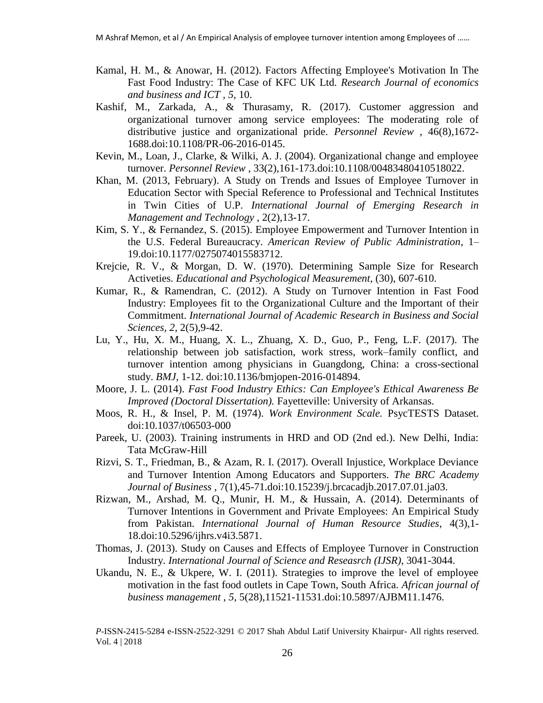- Kamal, H. M., & Anowar, H. (2012). Factors Affecting Employee's Motivation In The Fast Food Industry: The Case of KFC UK Ltd. *Research Journal of economics and business and ICT , 5*, 10.
- Kashif, M., Zarkada, A., & Thurasamy, R. (2017). Customer aggression and organizational turnover among service employees: The moderating role of distributive justice and organizational pride. *Personnel Review* , 46(8),1672- 1688.doi:10.1108/PR-06-2016-0145.
- Kevin, M., Loan, J., Clarke, & Wilki, A. J. (2004). Organizational change and employee turnover. *Personnel Review* , 33(2),161-173.doi:10.1108/00483480410518022.
- Khan, M. (2013, February). A Study on Trends and Issues of Employee Turnover in Education Sector with Special Reference to Professional and Technical Institutes in Twin Cities of U.P. *International Journal of Emerging Research in Management and Technology* , 2(2),13-17.
- Kim, S. Y., & Fernandez, S. (2015). Employee Empowerment and Turnover Intention in the U.S. Federal Bureaucracy. *American Review of Public Administration*, 1– 19.doi:10.1177/0275074015583712.
- Krejcie, R. V., & Morgan, D. W. (1970). Determining Sample Size for Research Activeties. *Educational and Psychological Measurement*, (30), 607-610.
- Kumar, R., & Ramendran, C. (2012). A Study on Turnover Intention in Fast Food Industry: Employees fit to the Organizational Culture and the Important of their Commitment. *International Journal of Academic Research in Business and Social Sciences, 2*, 2(5),9-42.
- Lu, Y., Hu, X. M., Huang, X. L., Zhuang, X. D., Guo, P., Feng, L.F. (2017). The relationship between job satisfaction, work stress, work–family conflict, and turnover intention among physicians in Guangdong, China: a cross-sectional study. *BMJ*, 1-12. doi:10.1136/bmjopen-2016-014894.
- Moore, J. L. (2014). *Fast Food Industry Ethics: Can Employee's Ethical Awareness Be Improved (Doctoral Dissertation).* Fayetteville: University of Arkansas.
- Moos, R. H., & Insel, P. M. (1974). *Work Environment Scale.* PsycTESTS Dataset. doi:10.1037/t06503-000
- Pareek, U. (2003). Training instruments in HRD and OD (2nd ed.). New Delhi, India: Tata McGraw-Hill
- Rizvi, S. T., Friedman, B., & Azam, R. I. (2017). Overall Injustice, Workplace Deviance and Turnover Intention Among Educators and Supporters. *The BRC Academy Journal of Business* , 7(1),45-71.doi:10.15239/j.brcacadjb.2017.07.01.ja03.
- Rizwan, M., Arshad, M. Q., Munir, H. M., & Hussain, A. (2014). Determinants of Turnover Intentions in Government and Private Employees: An Empirical Study from Pakistan. *International Journal of Human Resource Studies*, 4(3),1- 18.doi:10.5296/ijhrs.v4i3.5871.
- Thomas, J. (2013). Study on Causes and Effects of Employee Turnover in Construction Industry. *International Journal of Science and Reseasrch (IJSR)*, 3041-3044.
- Ukandu, N. E., & Ukpere, W. I. (2011). Strategies to improve the level of employee motivation in the fast food outlets in Cape Town, South Africa. *African journal of business management , 5*, 5(28),11521-11531.doi:10.5897/AJBM11.1476.